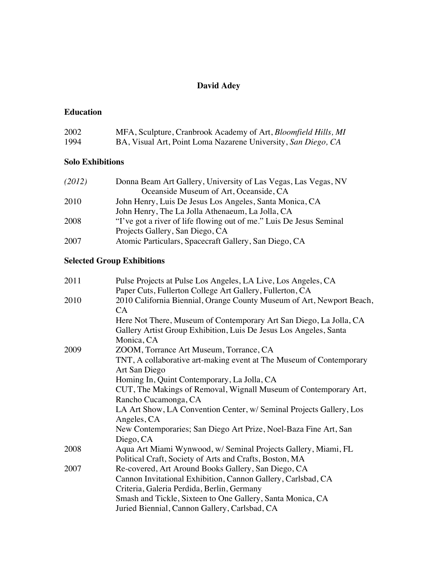# **David Adey**

#### **Education**

| 2002 | MFA, Sculpture, Cranbrook Academy of Art, Bloomfield Hills, MI |
|------|----------------------------------------------------------------|
| 1994 | BA, Visual Art, Point Loma Nazarene University, San Diego, CA  |

#### **Solo Exhibitions**

| (2012) | Donna Beam Art Gallery, University of Las Vegas, Las Vegas, NV      |
|--------|---------------------------------------------------------------------|
|        | Oceanside Museum of Art, Oceanside, CA                              |
| 2010   | John Henry, Luis De Jesus Los Angeles, Santa Monica, CA             |
|        | John Henry, The La Jolla Athenaeum, La Jolla, CA                    |
| 2008   | "I've got a river of life flowing out of me." Luis De Jesus Seminal |
|        | Projects Gallery, San Diego, CA                                     |
| 2007   | Atomic Particulars, Spacecraft Gallery, San Diego, CA               |

# **Selected Group Exhibitions**

| 2011 | Pulse Projects at Pulse Los Angeles, LA Live, Los Angeles, CA         |
|------|-----------------------------------------------------------------------|
|      | Paper Cuts, Fullerton College Art Gallery, Fullerton, CA              |
| 2010 | 2010 California Biennial, Orange County Museum of Art, Newport Beach, |
|      | CA.                                                                   |
|      | Here Not There, Museum of Contemporary Art San Diego, La Jolla, CA    |
|      | Gallery Artist Group Exhibition, Luis De Jesus Los Angeles, Santa     |
|      | Monica, CA                                                            |
| 2009 | ZOOM, Torrance Art Museum, Torrance, CA                               |
|      | TNT, A collaborative art-making event at The Museum of Contemporary   |
|      | Art San Diego                                                         |
|      | Homing In, Quint Contemporary, La Jolla, CA                           |
|      | CUT, The Makings of Removal, Wignall Museum of Contemporary Art,      |
|      | Rancho Cucamonga, CA                                                  |
|      | LA Art Show, LA Convention Center, w/ Seminal Projects Gallery, Los   |
|      | Angeles, CA                                                           |
|      | New Contemporaries; San Diego Art Prize, Noel-Baza Fine Art, San      |
|      | Diego, CA                                                             |
| 2008 | Aqua Art Miami Wynwood, w/ Seminal Projects Gallery, Miami, FL        |
|      | Political Craft, Society of Arts and Crafts, Boston, MA               |
| 2007 | Re-covered, Art Around Books Gallery, San Diego, CA                   |
|      | Cannon Invitational Exhibition, Cannon Gallery, Carlsbad, CA          |
|      | Criteria, Galeria Perdida, Berlin, Germany                            |
|      | Smash and Tickle, Sixteen to One Gallery, Santa Monica, CA            |
|      | Juried Biennial, Cannon Gallery, Carlsbad, CA                         |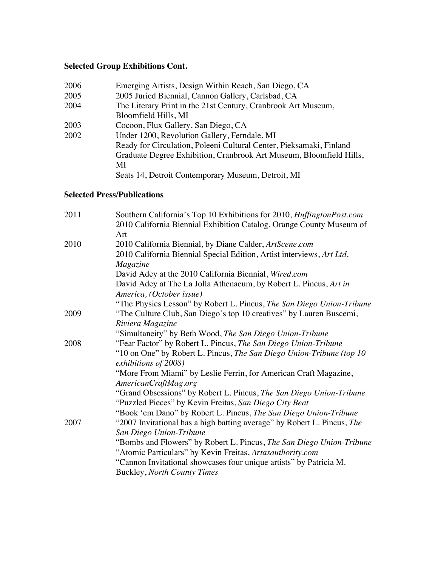# **Selected Group Exhibitions Cont.**

| 2006 | Emerging Artists, Design Within Reach, San Diego, CA                |
|------|---------------------------------------------------------------------|
| 2005 | 2005 Juried Biennial, Cannon Gallery, Carlsbad, CA                  |
| 2004 | The Literary Print in the 21st Century, Cranbrook Art Museum,       |
|      | Bloomfield Hills, MI                                                |
| 2003 | Cocoon, Flux Gallery, San Diego, CA                                 |
| 2002 | Under 1200, Revolution Gallery, Ferndale, MI                        |
|      | Ready for Circulation, Poleeni Cultural Center, Pieksamaki, Finland |
|      | Graduate Degree Exhibition, Cranbrook Art Museum, Bloomfield Hills, |
|      | МI                                                                  |
|      | Seats 14, Detroit Contemporary Museum, Detroit, MI                  |

### **Selected Press/Publications**

| 2011 | Southern California's Top 10 Exhibitions for 2010, HuffingtonPost.com                         |
|------|-----------------------------------------------------------------------------------------------|
|      | 2010 California Biennial Exhibition Catalog, Orange County Museum of<br>Art                   |
| 2010 | 2010 California Biennial, by Diane Calder, ArtScene.com                                       |
|      | 2010 California Biennial Special Edition, Artist interviews, Art Ltd.                         |
|      | Magazine                                                                                      |
|      | David Adey at the 2010 California Biennial, Wired.com                                         |
|      | David Adey at The La Jolla Athenaeum, by Robert L. Pincus, Art in<br>America, (October issue) |
|      | "The Physics Lesson" by Robert L. Pincus, The San Diego Union-Tribune                         |
| 2009 | "The Culture Club, San Diego's top 10 creatives" by Lauren Buscemi,                           |
|      | Riviera Magazine                                                                              |
|      | "Simultaneity" by Beth Wood, The San Diego Union-Tribune                                      |
| 2008 | "Fear Factor" by Robert L. Pincus, The San Diego Union-Tribune                                |
|      | "10 on One" by Robert L. Pincus, The San Diego Union-Tribune (top 10)                         |
|      | exhibitions of 2008)                                                                          |
|      | "More From Miami" by Leslie Ferrin, for American Craft Magazine,<br>AmericanCraftMag.org      |
|      | "Grand Obsessions" by Robert L. Pincus, The San Diego Union-Tribune                           |
|      | "Puzzled Pieces" by Kevin Freitas, San Diego City Beat                                        |
|      | "Book 'em Dano" by Robert L. Pincus, The San Diego Union-Tribune                              |
| 2007 | "2007 Invitational has a high batting average" by Robert L. Pincus, The                       |
|      | San Diego Union-Tribune                                                                       |
|      | "Bombs and Flowers" by Robert L. Pincus, The San Diego Union-Tribune                          |
|      | "Atomic Particulars" by Kevin Freitas, Artasauthority.com                                     |
|      | "Cannon Invitational showcases four unique artists" by Patricia M.                            |
|      | <b>Buckley, North County Times</b>                                                            |